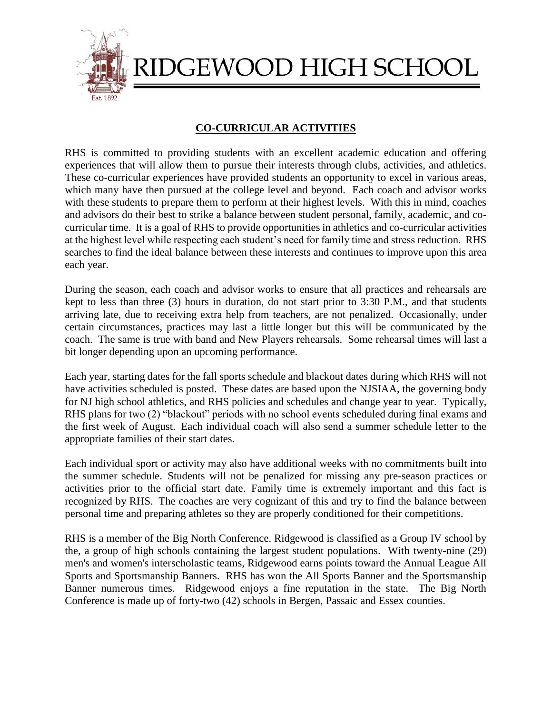

RIDGEWOOD HIGH SCHOOL

# **CO-CURRICULAR ACTIVITIES**

RHS is committed to providing students with an excellent academic education and offering experiences that will allow them to pursue their interests through clubs, activities, and athletics. These co-curricular experiences have provided students an opportunity to excel in various areas, which many have then pursued at the college level and beyond. Each coach and advisor works with these students to prepare them to perform at their highest levels. With this in mind, coaches and advisors do their best to strike a balance between student personal, family, academic, and cocurricular time. It is a goal of RHS to provide opportunities in athletics and co-curricular activities at the highest level while respecting each student's need for family time and stress reduction. RHS searches to find the ideal balance between these interests and continues to improve upon this area each year.

During the season, each coach and advisor works to ensure that all practices and rehearsals are kept to less than three (3) hours in duration, do not start prior to 3:30 P.M., and that students arriving late, due to receiving extra help from teachers, are not penalized. Occasionally, under certain circumstances, practices may last a little longer but this will be communicated by the coach. The same is true with band and New Players rehearsals. Some rehearsal times will last a bit longer depending upon an upcoming performance.

Each year, starting dates for the fall sports schedule and blackout dates during which RHS will not have activities scheduled is posted. These dates are based upon the NJSIAA, the governing body for NJ high school athletics, and RHS policies and schedules and change year to year. Typically, RHS plans for two (2) "blackout" periods with no school events scheduled during final exams and the first week of August.Each individual coach will also send a summer schedule letter to the appropriate families of their start dates.

Each individual sport or activity may also have additional weeks with no commitments built into the summer schedule. Students will not be penalized for missing any pre-season practices or activities prior to the official start date. Family time is extremely important and this fact is recognized by RHS. The coaches are very cognizant of this and try to find the balance between personal time and preparing athletes so they are properly conditioned for their competitions.

RHS is a member of the Big North Conference. Ridgewood is classified as a Group IV school by the, a group of high schools containing the largest student populations. With twenty-nine (29) men's and women's interscholastic teams, Ridgewood earns points toward the Annual League All Sports and Sportsmanship Banners. RHS has won the All Sports Banner and the Sportsmanship Banner numerous times. Ridgewood enjoys a fine reputation in the state. The Big North Conference is made up of forty-two (42) schools in Bergen, Passaic and Essex counties.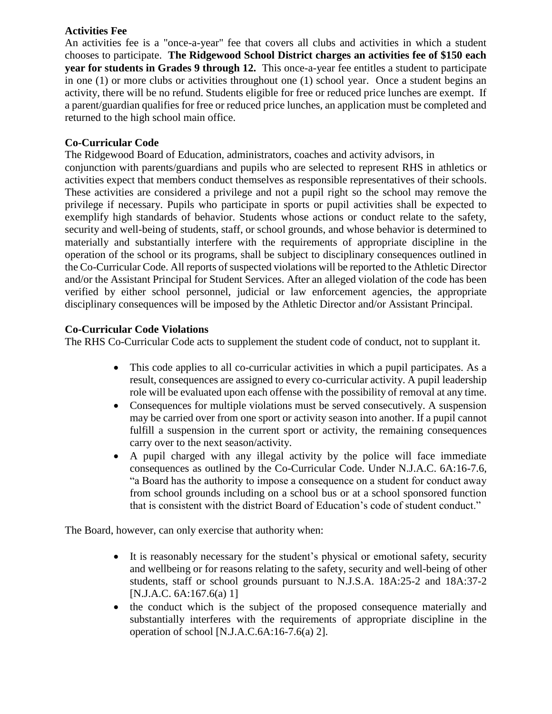#### **Activities Fee**

An activities fee is a "once-a-year" fee that covers all clubs and activities in which a student chooses to participate. **The Ridgewood School District charges an activities fee of \$150 each year for students in Grades 9 through 12.** This once-a-year fee entitles a student to participate in one (1) or more clubs or activities throughout one (1) school year. Once a student begins an activity, there will be no refund. Students eligible for free or reduced price lunches are exempt. If a parent/guardian qualifies for free or reduced price lunches, an application must be completed and returned to the high school main office.

# **Co-Curricular Code**

The Ridgewood Board of Education, administrators, coaches and activity advisors, in conjunction with parents/guardians and pupils who are selected to represent RHS in athletics or activities expect that members conduct themselves as responsible representatives of their schools. These activities are considered a privilege and not a pupil right so the school may remove the privilege if necessary. Pupils who participate in sports or pupil activities shall be expected to exemplify high standards of behavior. Students whose actions or conduct relate to the safety, security and well-being of students, staff, or school grounds, and whose behavior is determined to materially and substantially interfere with the requirements of appropriate discipline in the operation of the school or its programs, shall be subject to disciplinary consequences outlined in the Co-Curricular Code. All reports of suspected violations will be reported to the Athletic Director and/or the Assistant Principal for Student Services. After an alleged violation of the code has been verified by either school personnel, judicial or law enforcement agencies, the appropriate disciplinary consequences will be imposed by the Athletic Director and/or Assistant Principal.

## **Co-Curricular Code Violations**

The RHS Co-Curricular Code acts to supplement the student code of conduct, not to supplant it.

- This code applies to all co-curricular activities in which a pupil participates. As a result, consequences are assigned to every co-curricular activity. A pupil leadership role will be evaluated upon each offense with the possibility of removal at any time.
- Consequences for multiple violations must be served consecutively. A suspension may be carried over from one sport or activity season into another. If a pupil cannot fulfill a suspension in the current sport or activity, the remaining consequences carry over to the next season/activity.
- A pupil charged with any illegal activity by the police will face immediate consequences as outlined by the Co-Curricular Code. Under N.J.A.C. 6A:16-7.6, "a Board has the authority to impose a consequence on a student for conduct away from school grounds including on a school bus or at a school sponsored function that is consistent with the district Board of Education's code of student conduct."

The Board, however, can only exercise that authority when:

- It is reasonably necessary for the student's physical or emotional safety, security and wellbeing or for reasons relating to the safety, security and well-being of other students, staff or school grounds pursuant to N.J.S.A. 18A:25-2 and 18A:37-2 [N.J.A.C. 6A:167.6(a) 1]
- the conduct which is the subject of the proposed consequence materially and substantially interferes with the requirements of appropriate discipline in the operation of school [N.J.A.C.6A:16-7.6(a) 2].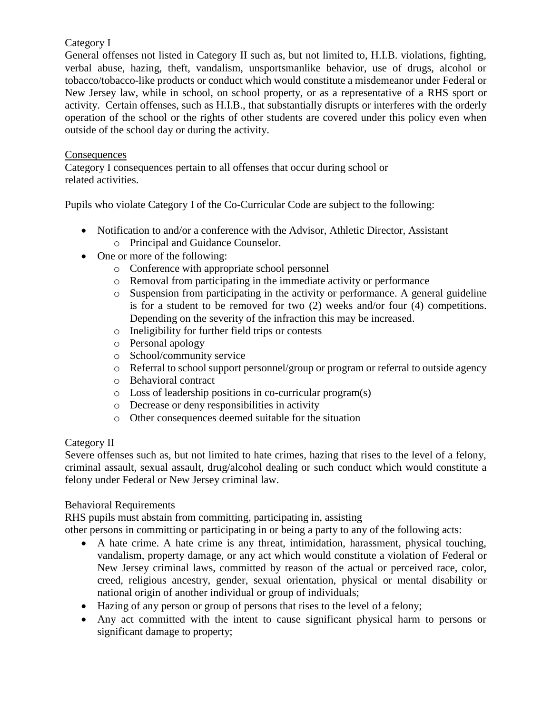## Category I

General offenses not listed in Category II such as, but not limited to, H.I.B. violations, fighting, verbal abuse, hazing, theft, vandalism, unsportsmanlike behavior, use of drugs, alcohol or tobacco/tobacco-like products or conduct which would constitute a misdemeanor under Federal or New Jersey law, while in school, on school property, or as a representative of a RHS sport or activity. Certain offenses, such as H.I.B., that substantially disrupts or interferes with the orderly operation of the school or the rights of other students are covered under this policy even when outside of the school day or during the activity.

#### **Consequences**

Category I consequences pertain to all offenses that occur during school or related activities.

Pupils who violate Category I of the Co-Curricular Code are subject to the following:

- Notification to and/or a conference with the Advisor, Athletic Director, Assistant
	- o Principal and Guidance Counselor.
- One or more of the following:
	- o Conference with appropriate school personnel
	- o Removal from participating in the immediate activity or performance
	- $\circ$  Suspension from participating in the activity or performance. A general guideline is for a student to be removed for two (2) weeks and/or four (4) competitions. Depending on the severity of the infraction this may be increased.
	- o Ineligibility for further field trips or contests
	- o Personal apology
	- o School/community service
	- o Referral to school support personnel/group or program or referral to outside agency
	- o Behavioral contract
	- o Loss of leadership positions in co-curricular program(s)
	- o Decrease or deny responsibilities in activity
	- o Other consequences deemed suitable for the situation

#### Category II

Severe offenses such as, but not limited to hate crimes, hazing that rises to the level of a felony, criminal assault, sexual assault, drug/alcohol dealing or such conduct which would constitute a felony under Federal or New Jersey criminal law.

#### Behavioral Requirements

RHS pupils must abstain from committing, participating in, assisting

other persons in committing or participating in or being a party to any of the following acts:

- A hate crime. A hate crime is any threat, intimidation, harassment, physical touching, vandalism, property damage, or any act which would constitute a violation of Federal or New Jersey criminal laws, committed by reason of the actual or perceived race, color, creed, religious ancestry, gender, sexual orientation, physical or mental disability or national origin of another individual or group of individuals;
- Hazing of any person or group of persons that rises to the level of a felony;
- Any act committed with the intent to cause significant physical harm to persons or significant damage to property;